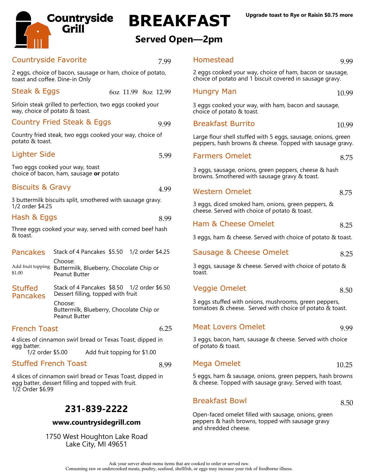

# **BREAKFAST**

### **Served Open—2pm**

| <b>Countryside Favorite</b>                                          |                                                                                            | 7.99 | Homestead                                                                                                                  | 9.99  |
|----------------------------------------------------------------------|--------------------------------------------------------------------------------------------|------|----------------------------------------------------------------------------------------------------------------------------|-------|
| toast and coffee. Dine-in Only                                       | 2 eggs, choice of bacon, sausage or ham, choice of potato,                                 |      | 2 eggs cooked your way, choice of ham, bacon or sausage,<br>choice of potato and 1 biscuit covered in sausage gravy.       |       |
| Steak & Eggs                                                         | 6oz 11.99 8oz 12.99                                                                        |      | <b>Hungry Man</b>                                                                                                          | 10.99 |
| way, choice of potato & toast.                                       | Sirloin steak grilled to perfection, two eggs cooked your                                  |      | 3 eggs cooked your way, with ham, bacon and sausage,<br>choice of potato & toast.                                          |       |
|                                                                      | Country Fried Steak & Eggs                                                                 | 9.99 | <b>Breakfast Burrito</b>                                                                                                   | 10.99 |
| potato & toast.                                                      | Country fried steak, two eggs cooked your way, choice of                                   |      | Large flour shell stuffed with 5 eggs, sausage, onions, green<br>peppers, hash browns & cheese. Topped with sausage gravy. |       |
| <b>Lighter Side</b>                                                  |                                                                                            | 5.99 | <b>Farmers Omelet</b>                                                                                                      | 8.75  |
| Two eggs cooked your way, toast                                      | choice of bacon, ham, sausage or potato                                                    |      | 3 eggs, sausage, onions, green peppers, cheese & hash<br>browns. Smothered with sausage gravy & toast.                     |       |
| <b>Biscuits &amp; Gravy</b>                                          |                                                                                            | 4.99 | <b>Western Omelet</b>                                                                                                      | 8.75  |
| 1/2 order \$4.25                                                     | 3 buttermilk biscuits split, smothered with sausage gravy.                                 |      | 3 eggs, diced smoked ham, onions, green peppers, &<br>cheese. Served with choice of potato & toast.                        |       |
| Hash & Eggs                                                          |                                                                                            | 8.99 | Ham & Cheese Omelet                                                                                                        | 8.25  |
| Three eggs cooked your way, served with corned beef hash<br>& toast. |                                                                                            |      | 3 eggs, ham & cheese. Served with choice of potato & toast.                                                                |       |
| <b>Pancakes</b>                                                      | Stack of 4 Pancakes \$5.50 1/2 order \$4.25                                                |      | Sausage & Cheese Omelet                                                                                                    | 8.25  |
| \$1.00                                                               | Choose:<br>Add fruit topping Buttermilk, Blueberry, Chocolate Chip or<br>Peanut Butter     |      | 3 eggs, sausage & cheese. Served with choice of potato &<br>toast.                                                         |       |
| <b>Stuffed</b><br><b>Pancakes</b>                                    | Stack of 4 Pancakes \$8.50 1/2 order \$6.50<br>Dessert filling, topped with fruit          |      | <b>Veggie Omelet</b>                                                                                                       | 8.50  |
|                                                                      | Choose:<br>Buttermilk, Blueberry, Chocolate Chip or<br>Peanut Butter                       |      | 3 eggs stuffed with onions, mushrooms, green peppers,<br>tomatoes & cheese. Served with choice of potato & toast.          |       |
| <b>French Toast</b>                                                  |                                                                                            | 6.25 | <b>Meat Lovers Omelet</b>                                                                                                  | 9.99  |
| egg batter.<br>1/2 order \$5.00                                      | 4 slices of cinnamon swirl bread or Texas Toast, dipped in<br>Add fruit topping for \$1.00 |      | 3 eggs, bacon, ham, sausage & cheese. Served with choice<br>of potato & toast.                                             |       |
| <b>Stuffed French Toast</b>                                          |                                                                                            | 8.99 | Mega Omelet                                                                                                                | 10.25 |

4 slices of cinnamon swirl bread or Texas Toast, dipped in

egg batter, dessert filling and topped with fruit. 1/2 Order \$6.99

### **231-839-2222**

### **www.countrysidegrill.com**

1750 West Houghton Lake Road Lake City, MI 49651

Breakfast Bowl 8.50

Open-faced omelet filled with sausage, onions, green peppers & hash browns, topped with sausage gravy and shredded cheese.

5 eggs, ham & sausage, onions, green peppers, hash browns & cheese. Topped with sausage gravy. Served with toast.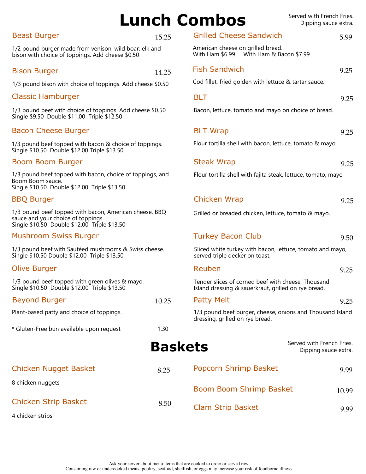#### Ask your server about menu items that are cooked to order or served raw. Consuming raw or undercooked meats, poultry, seafood, shellfish, or eggs may increase your risk of foodborne illness.

#### Beast Burger 15.25

1/2 pound burger made from venison, wild boar, elk and bison with choice of toppings. Add cheese \$0.50

#### Bison Burger

1/3 pound bison with choice of toppings. Add chees

#### Classic Hamburger

1/3 pound beef with choice of toppings. Add cheese Single \$9.50 Double \$11.00 Triple \$12.50

#### Bacon Cheese Burger

1/3 pound beef topped with bacon & choice of toppi Single \$10.50 Double \$12.00 Triple \$13.50

#### Boom Boom Burger

1/3 pound beef topped with bacon, choice of topping Boom Boom sauce. Single \$10.50 Double \$12.00 Triple \$13.50

#### BBQ Burger

1/3 pound beef topped with bacon, American cheese sauce and your choice of toppings. Single \$10.50 Double \$12.00 Triple \$13.50

#### Mushroom Swiss Burger

1/3 pound beef with Sautéed mushrooms & Swiss ch Single \$10.50 Double \$12.00 Triple \$13.50

#### Olive Burger

1/3 pound beef topped with green olives & mayo. Single \$10.50 Double \$12.00 Triple \$13.50

#### Beyond Burger

Plant-based patty and choice of toppings.

\* Gluten-Free bun available upon request

# **Baskets**

Chicken Nugget Basket

8 chicken nuggets

| 8.50 |
|------|
|      |

4 chicken strips

Lunch Combos Served with French Fries. Dipping sauce extra.

Grilled Cheese Sandwich 5.99

American cheese on grilled bread.

|                | With Ham & Bacon \$7.99<br>With Ham \$6.99                                                                |       |
|----------------|-----------------------------------------------------------------------------------------------------------|-------|
| 14.25          | <b>Fish Sandwich</b>                                                                                      | 9.25  |
| e \$0.50       | Cod fillet, fried golden with lettuce & tartar sauce.                                                     |       |
|                | <b>BLT</b>                                                                                                | 9.25  |
| \$0.50         | Bacon, lettuce, tomato and mayo on choice of bread.                                                       |       |
|                | <b>BLT Wrap</b>                                                                                           | 9.25  |
| ings.          | Flour tortilla shell with bacon, lettuce, tomato & mayo.                                                  |       |
|                | <b>Steak Wrap</b>                                                                                         | 9.25  |
| gs, and        | Flour tortilla shell with fajita steak, lettuce, tomato, mayo                                             |       |
|                |                                                                                                           |       |
|                | Chicken Wrap                                                                                              | 9.25  |
| e, BBQ         | Grilled or breaded chicken, lettuce, tomato & mayo.                                                       |       |
|                | <b>Turkey Bacon Club</b>                                                                                  | 9.50  |
| ieese.         | Sliced white turkey with bacon, lettuce, tomato and mayo,<br>served triple decker on toast.               |       |
|                | Reuben                                                                                                    | 9.25  |
|                | Tender slices of corned beef with cheese, Thousand<br>Island dressing & sauerkraut, grilled on rye bread. |       |
| 10.25          | <b>Patty Melt</b>                                                                                         | 9.25  |
|                | 1/3 pound beef burger, cheese, onions and Thousand Island<br>dressing, grilled on rye bread.              |       |
| 1.30           |                                                                                                           |       |
| <b>Baskets</b> | Served with French Fries.<br>Dipping sauce extra.                                                         |       |
| 8.25           | Popcorn Shrimp Basket                                                                                     | 9.99  |
|                | Boom Boom Shrimp Basket                                                                                   | 10.99 |
| 8.50           | <b>Clam Strip Basket</b>                                                                                  | 9.99  |
|                |                                                                                                           |       |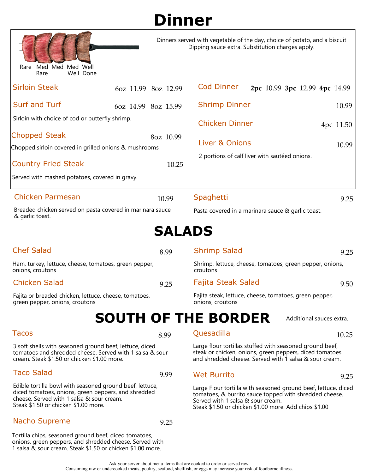| <b>Dinner</b> |
|---------------|
|---------------|

| Med Med Med Well<br>Rare<br>Well Done<br>Rare                                                                                                                      |                            | Dipping sauce extra. Substitution charges apply.  | Dinners served with vegetable of the day, choice of potato, and a biscuit                                                                                                     |
|--------------------------------------------------------------------------------------------------------------------------------------------------------------------|----------------------------|---------------------------------------------------|-------------------------------------------------------------------------------------------------------------------------------------------------------------------------------|
| <b>Sirloin Steak</b>                                                                                                                                               | 6oz 11.99 8oz 12.99        | <b>Cod Dinner</b>                                 | 2pc 10.99 3pc 12.99 4pc 14.99                                                                                                                                                 |
| <b>Surf and Turf</b>                                                                                                                                               | 6oz 14.99 8oz 15.99        | <b>Shrimp Dinner</b>                              | 10.99                                                                                                                                                                         |
| Sirloin with choice of cod or butterfly shrimp.                                                                                                                    |                            | <b>Chicken Dinner</b>                             | 4pc 11.50                                                                                                                                                                     |
| <b>Chopped Steak</b><br>Chopped sirloin covered in grilled onions & mushrooms                                                                                      | 8oz 10.99                  | Liver & Onions                                    | 10.99                                                                                                                                                                         |
| <b>Country Fried Steak</b><br>10.25                                                                                                                                |                            | 2 portions of calf liver with sautéed onions.     |                                                                                                                                                                               |
| Served with mashed potatoes, covered in gravy.                                                                                                                     |                            |                                                   |                                                                                                                                                                               |
| Chicken Parmesan                                                                                                                                                   | 10.99                      | Spaghetti                                         | 9.25                                                                                                                                                                          |
| Breaded chicken served on pasta covered in marinara sauce<br>& garlic toast.                                                                                       |                            | Pasta covered in a marinara sauce & garlic toast. |                                                                                                                                                                               |
|                                                                                                                                                                    | <b>SALADS</b>              |                                                   |                                                                                                                                                                               |
| <b>Chef Salad</b>                                                                                                                                                  | 8.99                       | <b>Shrimp Salad</b>                               | 9.25                                                                                                                                                                          |
| Ham, turkey, lettuce, cheese, tomatoes, green pepper,<br>onions, croutons                                                                                          |                            | croutons                                          | Shrimp, lettuce, cheese, tomatoes, green pepper, onions,                                                                                                                      |
| <b>Chicken Salad</b>                                                                                                                                               | 9.25                       | Fajita Steak Salad                                | 9.50                                                                                                                                                                          |
| Fajita or breaded chicken, lettuce, cheese, tomatoes,<br>green pepper, onions, croutons                                                                            |                            | onions, croutons                                  | Fajita steak, lettuce, cheese, tomatoes, green pepper,                                                                                                                        |
|                                                                                                                                                                    | <b>SOUTH OF THE BORDER</b> |                                                   | Additional sauces extra.                                                                                                                                                      |
| <b>Tacos</b>                                                                                                                                                       | 8.99                       | Quesadilla                                        | 10.25                                                                                                                                                                         |
| 3 soft shells with seasoned ground beef, lettuce, diced<br>tomatoes and shredded cheese. Served with 1 salsa & sour<br>cream. Steak \$1.50 or chicken \$1.00 more. |                            |                                                   | Large flour tortillas stuffed with seasoned ground beef,<br>steak or chicken, onions, green peppers, diced tomatoes<br>and shredded cheese. Served with 1 salsa & sour cream. |
| <b>Taco Salad</b>                                                                                                                                                  | 9.99                       | <b>Wet Burrito</b>                                | 9.25                                                                                                                                                                          |
| Edible tortilla bowl with seasoned ground beef, lettuce,<br>diced tomatoes, onions, green peppers, and shredded<br>cheese. Served with 1 salsa & sour cream.       |                            | Served with 1 salsa & sour cream                  | Large Flour tortilla with seasoned ground beef, lettuce, diced<br>tomatoes, & burrito sauce topped with shredded cheese.                                                      |

Served with 1 salsa & sour cream. Steak \$1.50 or chicken \$1.00 more. Add chips \$1.00

### Ask your server about menu items that are cooked to order or served raw. 1 salsa & sour cream. Steak \$1.50 or chicken \$1.00 more.

Steak \$1.50 or chicken \$1.00 more.

Nacho Supreme 9.25

Tortilla chips, seasoned ground beef, diced tomatoes, onions, green peppers, and shredded cheese. Served with

Consuming raw or undercooked meats, poultry, seafood, shellfish, or eggs may increase your risk of foodborne illness.